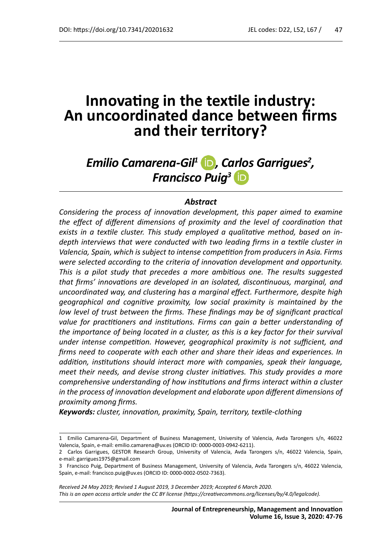# **Innovating in the textile industry: An uncoordinated dance between fi rms and their territory?**

# *Emilio Camarena-Gil<sup>1</sup> , Carlos Garrigues2 , Francisco Puig3*

#### *Abstract*

*Considering the process of innovation development, this paper aimed to examine the effect of different dimensions of proximity and the level of coordination that* exists in a textile cluster. This study employed a qualitative method, based on in*depth interviews that were conducted with two leading firms in a textile cluster in Valencia, Spain, which is subject to intense competition from producers in Asia. Firms were selected according to the criteria of innovation development and opportunity. This is a pilot study that precedes a more ambitious one. The results suggested that firms' innovations are developed in an isolated, discontinuous, marginal, and uncoordinated way, and clustering has a marginal effect. Furthermore, despite high geographical and cognitive proximity, low social proximity is maintained by the low level of trust between the firms. These findings may be of significant practical* value for practitioners and institutions. Firms can gain a better understanding of *the importance of being located in a cluster, as this is a key factor for their survival under intense competition. However, geographical proximity is not sufficient, and firms need to cooperate with each other and share their ideas and experiences. In addition, institutions should interact more with companies, speak their language, meet their needs, and devise strong cluster initiatives. This study provides a more comprehensive understanding of how institutions and firms interact within a cluster in the process of innovation development and elaborate upon different dimensions of proximity among fi rms.*

Keywords: cluster, innovation, proximity, Spain, territory, textile-clothing

<sup>1</sup> Emilio Camarena-Gil, Department of Business Management, University of Valencia, Avda Tarongers s/n, 46022 Valencia, Spain, e-mail: emilio.camarena@uv.es (ORCID ID: 0000-0003-0942-6211).

<sup>2</sup> Carlos Garrigues, GESTOR Research Group, University of Valencia, Avda Tarongers s/n, 46022 Valencia, Spain, e-mail: garrigues1975@gmail.com

<sup>3</sup> Francisco Puig, Department of Business Management, University of Valencia, Avda Tarongers s/n, 46022 Valencia, Spain, e-mail: francisco.puig@uv.es (ORCID ID: 0000-0002-0502-7363).

*Received 24 May 2019; Revised 1 August 2019, 3 December 2019; Accepted 6 March 2020.* This is an open access article under the CC BY license (https://creativecommons.org/licenses/by/4.0/legalcode).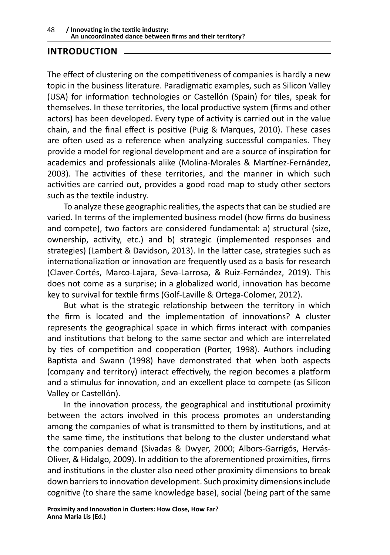### **INTRODUCTION**

The effect of clustering on the competitiveness of companies is hardly a new topic in the business literature. Paradigmatic examples, such as Silicon Valley (USA) for information technologies or Castellón (Spain) for tiles, speak for themselves. In these territories, the local productive system (firms and other actors) has been developed. Every type of activity is carried out in the value chain, and the final effect is positive (Puig & Marques, 2010). These cases are often used as a reference when analyzing successful companies. They provide a model for regional development and are a source of inspiration for academics and professionals alike (Molina-Morales & Martínez-Fernández, 2003). The activities of these territories, and the manner in which such activities are carried out, provides a good road map to study other sectors such as the textile industry.

To analyze these geographic realities, the aspects that can be studied are varied. In terms of the implemented business model (how firms do business and compete), two factors are considered fundamental: a) structural (size, ownership, activity, etc.) and b) strategic (implemented responses and strategies) (Lambert & Davidson, 2013). In the latter case, strategies such as internationalization or innovation are frequently used as a basis for research (Claver-Cortés, Marco-Lajara, Seva-Larrosa, & Ruiz-Fernández, 2019). This does not come as a surprise; in a globalized world, innovation has become key to survival for textile firms (Golf-Laville & Ortega-Colomer, 2012).

But what is the strategic relationship between the territory in which the firm is located and the implementation of innovations? A cluster represents the geographical space in which firms interact with companies and institutions that belong to the same sector and which are interrelated by ties of competition and cooperation (Porter, 1998). Authors including Baptista and Swann (1998) have demonstrated that when both aspects (company and territory) interact effectively, the region becomes a platform and a stimulus for innovation, and an excellent place to compete (as Silicon Valley or Castellón).

In the innovation process, the geographical and institutional proximity between the actors involved in this process promotes an understanding among the companies of what is transmitted to them by institutions, and at the same time, the institutions that belong to the cluster understand what the companies demand (Sivadas & Dwyer, 2000; Albors-Garrigós, Hervás-Oliver, & Hidalgo, 2009). In addition to the aforementioned proximities, firms and institutions in the cluster also need other proximity dimensions to break down barriers to innovation development. Such proximity dimensions include cognitive (to share the same knowledge base), social (being part of the same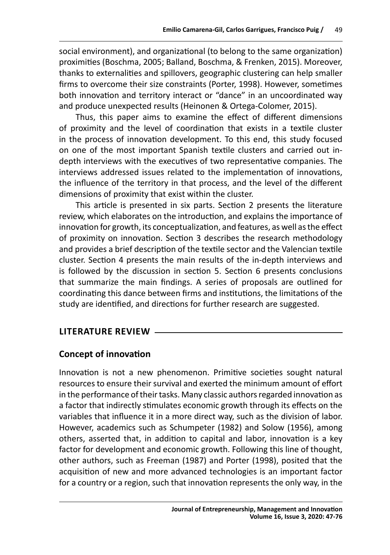social environment), and organizational (to belong to the same organization) proximities (Boschma, 2005; Balland, Boschma, & Frenken, 2015). Moreover, thanks to externalities and spillovers, geographic clustering can help smaller firms to overcome their size constraints (Porter, 1998). However, sometimes both innovation and territory interact or "dance" in an uncoordinated way and produce unexpected results (Heinonen & Ortega-Colomer, 2015).

Thus, this paper aims to examine the effect of different dimensions of proximity and the level of coordination that exists in a textile cluster in the process of innovation development. To this end, this study focused on one of the most important Spanish textile clusters and carried out indepth interviews with the executives of two representative companies. The interviews addressed issues related to the implementation of innovations, the influence of the territory in that process, and the level of the different dimensions of proximity that exist within the cluster.

This article is presented in six parts. Section 2 presents the literature review, which elaborates on the introduction, and explains the importance of innovation for growth, its conceptualization, and features, as well as the effect of proximity on innovation. Section 3 describes the research methodology and provides a brief description of the textile sector and the Valencian textile cluster. Section 4 presents the main results of the in-depth interviews and is followed by the discussion in section 5. Section 6 presents conclusions that summarize the main findings. A series of proposals are outlined for coordinating this dance between firms and institutions, the limitations of the study are identified, and directions for further research are suggested.

# **LITERATURE REVIEW**

# **Concept of innovation**

Innovation is not a new phenomenon. Primitive societies sought natural resources to ensure their survival and exerted the minimum amount of effort in the performance of their tasks. Many classic authors regarded innovation as a factor that indirectly stimulates economic growth through its effects on the variables that influence it in a more direct way, such as the division of labor. However, academics such as Schumpeter (1982) and Solow (1956), among others, asserted that, in addition to capital and labor, innovation is a key factor for development and economic growth. Following this line of thought, other authors, such as Freeman (1987) and Porter (1998), posited that the acquisition of new and more advanced technologies is an important factor for a country or a region, such that innovation represents the only way, in the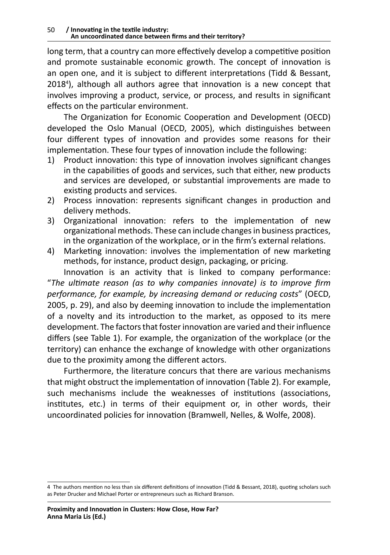long term, that a country can more effectively develop a competitive position and promote sustainable economic growth. The concept of innovation is an open one, and it is subject to different interpretations (Tidd & Bessant, 2018<sup>4</sup> ), although all authors agree that innovation is a new concept that involves improving a product, service, or process, and results in significant effects on the particular environment.

The Organization for Economic Cooperation and Development (OECD) developed the Oslo Manual (OECD, 2005), which distinguishes between four different types of innovation and provides some reasons for their implementation. These four types of innovation include the following:

- 1) Product innovation: this type of innovation involves significant changes in the capabilities of goods and services, such that either, new products and services are developed, or substantial improvements are made to existing products and services.
- 2) Process innovation: represents significant changes in production and delivery methods.
- 3) Organizational innovation: refers to the implementation of new organizational methods. These can include changes in business practices, in the organization of the workplace, or in the firm's external relations.
- 4) Marketing innovation: involves the implementation of new marketing methods, for instance, product design, packaging, or pricing.

Innovation is an activity that is linked to company performance: "*The ultimate reason (as to why companies innovate) is to improve firm performance, for example, by increasing demand or reducing costs*" (OECD, 2005, p. 29), and also by deeming innovation to include the implementation of a novelty and its introduction to the market, as opposed to its mere development. The factors that foster innovation are varied and their influence differs (see Table 1). For example, the organization of the workplace (or the territory) can enhance the exchange of knowledge with other organizations due to the proximity among the different actors.

Furthermore, the literature concurs that there are various mechanisms that might obstruct the implementation of innovation (Table 2). For example, such mechanisms include the weaknesses of institutions (associations, institutes, etc.) in terms of their equipment or, in other words, their uncoordinated policies for innovation (Bramwell, Nelles, & Wolfe, 2008).

<sup>4</sup> The authors mention no less than six different definitions of innovation (Tidd & Bessant, 2018), quoting scholars such as Peter Drucker and Michael Porter or entrepreneurs such as Richard Branson.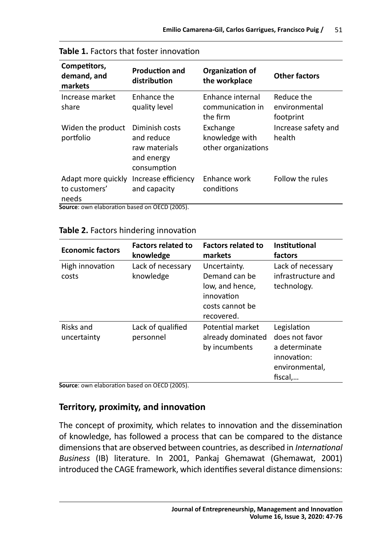| Competitors,<br>demand, and<br>markets                                                              | <b>Production and</b><br>distribution                                      | Organization of<br>the workplace                  | <b>Other factors</b>                     |
|-----------------------------------------------------------------------------------------------------|----------------------------------------------------------------------------|---------------------------------------------------|------------------------------------------|
| Increase market<br>share                                                                            | Enhance the<br>quality level                                               | Enhance internal<br>communication in<br>the firm  | Reduce the<br>environmental<br>footprint |
| Widen the product<br>portfolio                                                                      | Diminish costs<br>and reduce<br>raw materials<br>and energy<br>consumption | Exchange<br>knowledge with<br>other organizations | Increase safety and<br>health            |
| Adapt more quickly<br>to customers'<br>needs<br><b>Fourse:</b> awn alaboration based on OECD (2005) | Increase efficiency<br>and capacity                                        | Enhance work<br>conditions                        | Follow the rules                         |

**Source**: own elaboration based on OECD (2005).

#### **Table 2.** Factors hindering innovation

| <b>Economic factors</b>                                                  | <b>Factors related to</b><br>knowledge | <b>Factors related to</b><br>markets                                                            | Institutional<br>factors                                                                   |
|--------------------------------------------------------------------------|----------------------------------------|-------------------------------------------------------------------------------------------------|--------------------------------------------------------------------------------------------|
| High innovation<br>costs                                                 | Lack of necessary<br>knowledge         | Uncertainty.<br>Demand can be<br>low, and hence,<br>innovation<br>costs cannot be<br>recovered. | Lack of necessary<br>infrastructure and<br>technology.                                     |
| Risks and<br>uncertainty<br>Source: awn elaboration based on OECD (2005) | Lack of qualified<br>personnel         | Potential market<br>already dominated<br>by incumbents                                          | Legislation<br>does not favor<br>a determinate<br>innovation:<br>environmental,<br>fiscal, |

**Source**: own elaboration based on OECD (2005).

# **Territory, proximity, and innovation**

The concept of proximity, which relates to innovation and the dissemination of knowledge, has followed a process that can be compared to the distance dimensions that are observed between countries, as described in *International Business* (IB) literature. In 2001, Pankaj Ghemawat (Ghemawat, 2001) introduced the CAGE framework, which identifies several distance dimensions: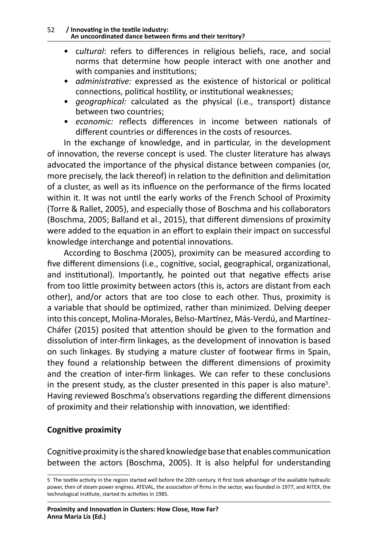#### 52 **/ Innovating in the textile industry: An uncoordinated dance between firms and their territory?**

- c*ultural*: refers to differences in religious beliefs, race, and social norms that determine how people interact with one another and with companies and institutions;
- *administrative:* expressed as the existence of historical or political connections, political hostility, or institutional weaknesses;
- *geographical:* calculated as the physical (i.e., transport) distance between two countries;
- *economic:* reflects differences in income between nationals of different countries or differences in the costs of resources.

In the exchange of knowledge, and in particular, in the development of innovation, the reverse concept is used. The cluster literature has always advocated the importance of the physical distance between companies (or, more precisely, the lack thereof) in relation to the definition and delimitation of a cluster, as well as its influence on the performance of the firms located within it. It was not until the early works of the French School of Proximity (Torre & Rallet, 2005), and especially those of Boschma and his collaborators (Boschma, 2005; Balland et al., 2015), that different dimensions of proximity were added to the equation in an effort to explain their impact on successful knowledge interchange and potential innovations.

According to Boschma (2005), proximity can be measured according to five different dimensions (i.e., cognitive, social, geographical, organizational, and institutional). Importantly, he pointed out that negative effects arise from too little proximity between actors (this is, actors are distant from each other), and/or actors that are too close to each other. Thus, proximity is a variable that should be optimized, rather than minimized. Delving deeper into this concept, Molina-Morales, Belso-Martínez, Más-Verdú, and Martínez-Cháfer (2015) posited that attention should be given to the formation and dissolution of inter-firm linkages, as the development of innovation is based on such linkages. By studying a mature cluster of footwear firms in Spain, they found a relationship between the different dimensions of proximity and the creation of inter-firm linkages. We can refer to these conclusions in the present study, as the cluster presented in this paper is also mature<sup>5</sup>. Having reviewed Boschma's observations regarding the different dimensions of proximity and their relationship with innovation, we identified:

### **Cognitive proximity**

Cognitive proximity is the shared knowledge base that enables communication between the actors (Boschma, 2005). It is also helpful for understanding

<sup>5</sup> The textile activity in the region started well before the 20th century. It first took advantage of the available hydraulic power, then of steam power engines. ATEVAL, the association of firms in the sector, was founded in 1977, and AITEX, the technological institute, started its activities in 1985.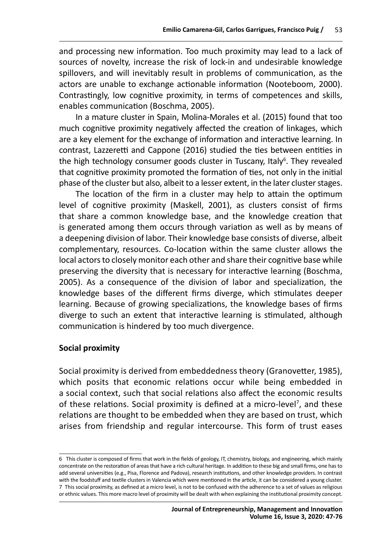and processing new information. Too much proximity may lead to a lack of sources of novelty, increase the risk of lock-in and undesirable knowledge spillovers, and will inevitably result in problems of communication, as the actors are unable to exchange actionable information (Nooteboom, 2000). Contrastingly, low cognitive proximity, in terms of competences and skills, enables communication (Boschma, 2005).

In a mature cluster in Spain, Molina-Morales et al. (2015) found that too much cognitive proximity negatively affected the creation of linkages, which are a key element for the exchange of information and interactive learning. In contrast, Lazzeretti and Cappone (2016) studied the ties between entities in the high technology consumer goods cluster in Tuscany, Italy<sup>6</sup>. They revealed that cognitive proximity promoted the formation of ties, not only in the initial phase of the cluster but also, albeit to a lesser extent, in the later cluster stages.

The location of the firm in a cluster may help to attain the optimum level of cognitive proximity (Maskell, 2001), as clusters consist of firms that share a common knowledge base, and the knowledge creation that is generated among them occurs through variation as well as by means of a deepening division of labor. Their knowledge base consists of diverse, albeit complementary, resources. Co-location within the same cluster allows the local actors to closely monitor each other and share their cognitive base while preserving the diversity that is necessary for interactive learning (Boschma, 2005). As a consequence of the division of labor and specialization, the knowledge bases of the different firms diverge, which stimulates deeper learning. Because of growing specializations, the knowledge bases of firms diverge to such an extent that interactive learning is stimulated, although communication is hindered by too much divergence.

### **Social proximity**

Social proximity is derived from embeddedness theory (Granovetter, 1985), which posits that economic relations occur while being embedded in a social context, such that social relations also affect the economic results of these relations. Social proximity is defined at a micro-level<sup>7</sup>, and these relations are thought to be embedded when they are based on trust, which arises from friendship and regular intercourse. This form of trust eases

<sup>6</sup> This cluster is composed of firms that work in the fields of geology, IT, chemistry, biology, and engineering, which mainly concentrate on the restoration of areas that have a rich cultural heritage. In addition to these big and small firms, one has to add several universities (e.g., Pisa, Florence and Padova), research institutions, and other knowledge providers. In contrast with the foodstuff and textile clusters in Valencia which were mentioned in the article, it can be considered a young cluster. 7 This social proximity, as defined at a micro level, is not to be confused with the adherence to a set of values as religious or ethnic values. This more macro level of proximity will be dealt with when explaining the institutional proximity concept.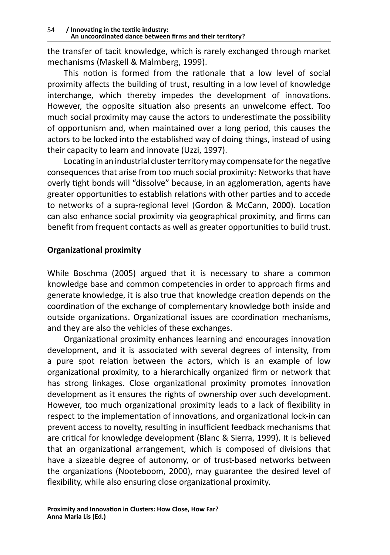the transfer of tacit knowledge, which is rarely exchanged through market mechanisms (Maskell & Malmberg, 1999).

This notion is formed from the rationale that a low level of social proximity affects the building of trust, resulting in a low level of knowledge interchange, which thereby impedes the development of innovations. However, the opposite situation also presents an unwelcome effect. Too much social proximity may cause the actors to underestimate the possibility of opportunism and, when maintained over a long period, this causes the actors to be locked into the established way of doing things, instead of using their capacity to learn and innovate (Uzzi, 1997).

Locating in an industrial cluster territory may compensate for the negative consequences that arise from too much social proximity: Networks that have overly tight bonds will "dissolve" because, in an agglomeration, agents have greater opportunities to establish relations with other parties and to accede to networks of a supra-regional level (Gordon & McCann, 2000). Location can also enhance social proximity via geographical proximity, and firms can benefit from frequent contacts as well as greater opportunities to build trust.

# **Organizational proximity**

While Boschma (2005) argued that it is necessary to share a common knowledge base and common competencies in order to approach firms and generate knowledge, it is also true that knowledge creation depends on the coordination of the exchange of complementary knowledge both inside and outside organizations. Organizational issues are coordination mechanisms, and they are also the vehicles of these exchanges.

Organizational proximity enhances learning and encourages innovation development, and it is associated with several degrees of intensity, from a pure spot relation between the actors, which is an example of low organizational proximity, to a hierarchically organized firm or network that has strong linkages. Close organizational proximity promotes innovation development as it ensures the rights of ownership over such development. However, too much organizational proximity leads to a lack of flexibility in respect to the implementation of innovations, and organizational lock-in can prevent access to novelty, resulting in insufficient feedback mechanisms that are critical for knowledge development (Blanc & Sierra, 1999). It is believed that an organizational arrangement, which is composed of divisions that have a sizeable degree of autonomy, or of trust-based networks between the organizations (Nooteboom, 2000), may guarantee the desired level of flexibility, while also ensuring close organizational proximity.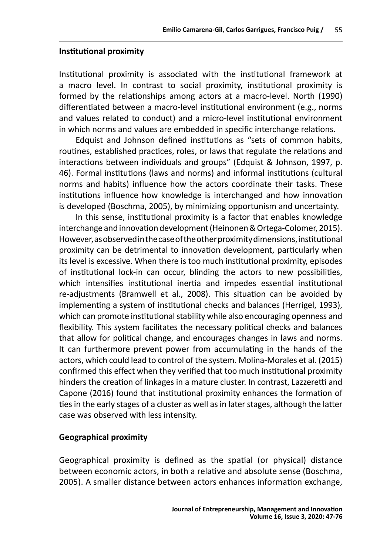### **Institutional proximity**

Institutional proximity is associated with the institutional framework at a macro level. In contrast to social proximity, institutional proximity is formed by the relationships among actors at a macro-level. North (1990) differentiated between a macro-level institutional environment (e.g., norms and values related to conduct) and a micro-level institutional environment in which norms and values are embedded in specific interchange relations.

Edquist and Johnson defined institutions as "sets of common habits, routines, established practices, roles, or laws that regulate the relations and interactions between individuals and groups" (Edquist & Johnson, 1997, p. 46). Formal institutions (laws and norms) and informal institutions (cultural norms and habits) influence how the actors coordinate their tasks. These institutions influence how knowledge is interchanged and how innovation is developed (Boschma, 2005), by minimizing opportunism and uncertainty.

In this sense, institutional proximity is a factor that enables knowledge interchange and innovation development (Heinonen & Ortega-Colomer, 2015). However, as observed in the case of the other proximity dimensions, institutional proximity can be detrimental to innovation development, particularly when its level is excessive. When there is too much institutional proximity, episodes of institutional lock-in can occur, blinding the actors to new possibilities, which intensifies institutional inertia and impedes essential institutional re-adjustments (Bramwell et al., 2008). This situation can be avoided by implementing a system of institutional checks and balances (Herrigel, 1993), which can promote institutional stability while also encouraging openness and flexibility. This system facilitates the necessary political checks and balances that allow for political change, and encourages changes in laws and norms. It can furthermore prevent power from accumulating in the hands of the actors, which could lead to control of the system. Molina-Morales et al. (2015) confirmed this effect when they verified that too much institutional proximity hinders the creation of linkages in a mature cluster. In contrast, Lazzeretti and Capone (2016) found that institutional proximity enhances the formation of ties in the early stages of a cluster as well as in later stages, although the latter case was observed with less intensity.

### **Geographical proximity**

Geographical proximity is defined as the spatial (or physical) distance between economic actors, in both a relative and absolute sense (Boschma, 2005). A smaller distance between actors enhances information exchange,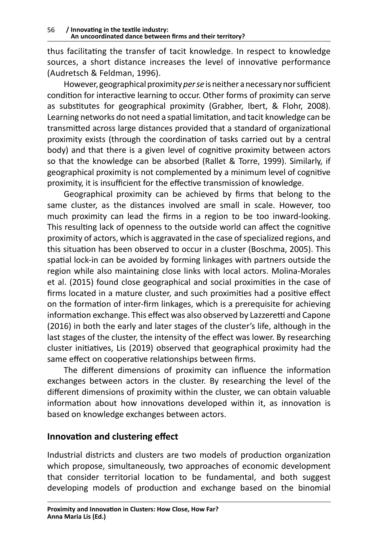thus facilitating the transfer of tacit knowledge. In respect to knowledge sources, a short distance increases the level of innovative performance (Audretsch & Feldman, 1996).

However, geographical proximity *per se* is neither anecessary nor sufficient condition for interactive learning to occur. Other forms of proximity can serve as substitutes for geographical proximity (Grabher, Ibert, & Flohr, 2008). Learning networks do not need a spatial limitation, and tacit knowledge can be transmitted across large distances provided that a standard of organizational proximity exists (through the coordination of tasks carried out by a central body) and that there is a given level of cognitive proximity between actors so that the knowledge can be absorbed (Rallet & Torre, 1999). Similarly, if geographical proximity is not complemented by a minimum level of cognitive proximity, it is insufficient for the effective transmission of knowledge.

Geographical proximity can be achieved by firms that belong to the same cluster, as the distances involved are small in scale. However, too much proximity can lead the firms in a region to be too inward-looking. This resulting lack of openness to the outside world can affect the cognitive proximity of actors, which is aggravated in the case of specialized regions, and this situation has been observed to occur in a cluster (Boschma, 2005). This spatial lock-in can be avoided by forming linkages with partners outside the region while also maintaining close links with local actors. Molina-Morales et al. (2015) found close geographical and social proximities in the case of firms located in a mature cluster, and such proximities had a positive effect on the formation of inter-firm linkages, which is a prerequisite for achieving information exchange. This effect was also observed by Lazzeretti and Capone (2016) in both the early and later stages of the cluster's life, although in the last stages of the cluster, the intensity of the effect was lower. By researching cluster initiatives, Lis (2019) observed that geographical proximity had the same effect on cooperative relationships between firms.

The different dimensions of proximity can influence the information exchanges between actors in the cluster. By researching the level of the different dimensions of proximity within the cluster, we can obtain valuable information about how innovations developed within it, as innovation is based on knowledge exchanges between actors.

# **Innovation and clustering effect**

Industrial districts and clusters are two models of production organization which propose, simultaneously, two approaches of economic development that consider territorial location to be fundamental, and both suggest developing models of production and exchange based on the binomial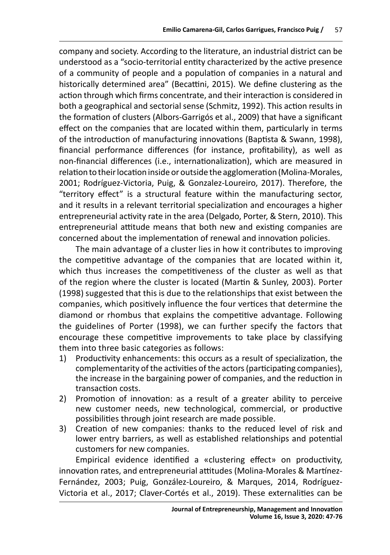company and society. According to the literature, an industrial district can be understood as a "socio-territorial entity characterized by the active presence of a community of people and a population of companies in a natural and historically determined area" (Becattini, 2015). We define clustering as the action through which firms concentrate, and their interaction is considered in both a geographical and sectorial sense (Schmitz, 1992). This action results in the formation of clusters (Albors-Garrigós et al., 2009) that have a significant effect on the companies that are located within them, particularly in terms of the introduction of manufacturing innovations (Baptista & Swann, 1998), financial performance differences (for instance, profitability), as well as non-financial differences (i.e., internationalization), which are measured in relation to their location inside or outside the agglomeration (Molina-Morales, 2001; Rodríguez-Victoria, Puig, & Gonzalez-Loureiro, 2017). Therefore, the "territory effect" is a structural feature within the manufacturing sector, and it results in a relevant territorial specialization and encourages a higher entrepreneurial activity rate in the area (Delgado, Porter, & Stern, 2010). This entrepreneurial attitude means that both new and existing companies are concerned about the implementation of renewal and innovation policies.

The main advantage of a cluster lies in how it contributes to improving the competitive advantage of the companies that are located within it, which thus increases the competitiveness of the cluster as well as that of the region where the cluster is located (Martin & Sunley, 2003). Porter (1998) suggested that this is due to the relationships that exist between the companies, which positively influence the four vertices that determine the diamond or rhombus that explains the competitive advantage. Following the guidelines of Porter (1998), we can further specify the factors that encourage these competitive improvements to take place by classifying them into three basic categories as follows:

- 1) Productivity enhancements: this occurs as a result of specialization, the complementarity of the activities of the actors (participating companies), the increase in the bargaining power of companies, and the reduction in transaction costs.
- 2) Promotion of innovation: as a result of a greater ability to perceive new customer needs, new technological, commercial, or productive possibilities through joint research are made possible.
- 3) Creation of new companies: thanks to the reduced level of risk and lower entry barriers, as well as established relationships and potential customers for new companies.

Empirical evidence identified a «clustering effect» on productivity, innovation rates, and entrepreneurial attitudes (Molina-Morales & Martínez-Fernández, 2003; Puig, González-Loureiro, & Marques, 2014, Rodríguez-Victoria et al., 2017; Claver-Cortés et al., 2019). These externalities can be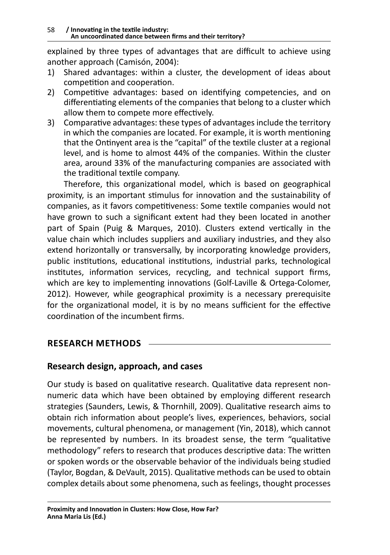explained by three types of advantages that are difficult to achieve using another approach (Camisón, 2004):

- 1) Shared advantages: within a cluster, the development of ideas about competition and cooperation.
- 2) Competitive advantages: based on identifying competencies, and on differentiating elements of the companies that belong to a cluster which allow them to compete more effectively.
- 3) Comparative advantages: these types of advantages include the territory in which the companies are located. For example, it is worth mentioning that the Ontinyent area is the "capital" of the textile cluster at a regional level, and is home to almost 44% of the companies. Within the cluster area, around 33% of the manufacturing companies are associated with the traditional textile company.

Therefore, this organizational model, which is based on geographical proximity, is an important stimulus for innovation and the sustainability of companies, as it favors competitiveness: Some textile companies would not have grown to such a significant extent had they been located in another part of Spain (Puig & Marques, 2010). Clusters extend vertically in the value chain which includes suppliers and auxiliary industries, and they also extend horizontally or transversally, by incorporating knowledge providers, public institutions, educational institutions, industrial parks, technological institutes, information services, recycling, and technical support firms, which are key to implementing innovations (Golf-Laville & Ortega-Colomer, 2012). However, while geographical proximity is a necessary prerequisite for the organizational model, it is by no means sufficient for the effective coordination of the incumbent firms.

# **RESEARCH METHODS**

# **Research design, approach, and cases**

Our study is based on qualitative research. Qualitative data represent nonnumeric data which have been obtained by employing different research strategies (Saunders, Lewis, & Thornhill, 2009). Qualitative research aims to obtain rich information about people's lives, experiences, behaviors, social movements, cultural phenomena, or management (Yin, 2018), which cannot be represented by numbers. In its broadest sense, the term "qualitative methodology" refers to research that produces descriptive data: The written or spoken words or the observable behavior of the individuals being studied (Taylor, Bogdan, & DeVault, 2015). Qualitative methods can be used to obtain complex details about some phenomena, such as feelings, thought processes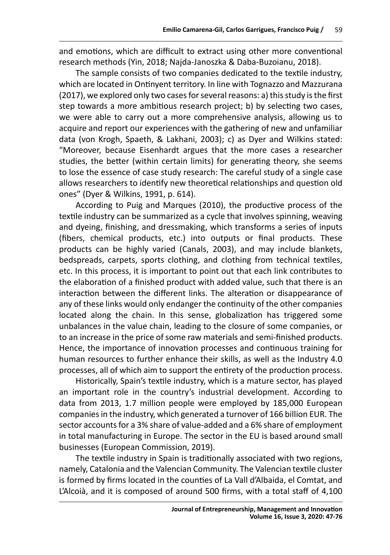and emotions, which are difficult to extract using other more conventional research methods (Yin, 2018; Najda-Janoszka & Daba-Buzoianu, 2018).

The sample consists of two companies dedicated to the textile industry, which are located in Ontinyent territory. In line with Tognazzo and Mazzurana (2017), we explored only two cases for several reasons: a) this study is the first step towards a more ambitious research project; b) by selecting two cases, we were able to carry out a more comprehensive analysis, allowing us to acquire and report our experiences with the gathering of new and unfamiliar data (von Krogh, Spaeth, & Lakhani, 2003); c) as Dyer and Wilkins stated: "Moreover, because Eisenhardt argues that the more cases a researcher studies, the better (within certain limits) for generating theory, she seems to lose the essence of case study research: The careful study of a single case allows researchers to identify new theoretical relationships and question old ones" (Dyer & Wilkins, 1991, p. 614).

According to Puig and Marques (2010), the productive process of the textile industry can be summarized as a cycle that involves spinning, weaving and dyeing, finishing, and dressmaking, which transforms a series of inputs (fibers, chemical products, etc.) into outputs or final products. These products can be highly varied (Canals, 2003), and may include blankets, bedspreads, carpets, sports clothing, and clothing from technical textiles, etc. In this process, it is important to point out that each link contributes to the elaboration of a finished product with added value, such that there is an interaction between the different links. The alteration or disappearance of any of these links would only endanger the continuity of the other companies located along the chain. In this sense, globalization has triggered some unbalances in the value chain, leading to the closure of some companies, or to an increase in the price of some raw materials and semi-finished products. Hence, the importance of innovation processes and continuous training for human resources to further enhance their skills, as well as the Industry 4.0 processes, all of which aim to support the entirety of the production process.

Historically, Spain's textile industry, which is a mature sector, has played an important role in the country's industrial development. According to data from 2013, 1.7 million people were employed by 185,000 European companies in the industry, which generated a turnover of 166 billion EUR. The sector accounts for a 3% share of value-added and a 6% share of employment in total manufacturing in Europe. The sector in the EU is based around small businesses (European Commission, 2019).

The textile industry in Spain is traditionally associated with two regions, namely, Catalonia and the Valencian Community. The Valencian textile cluster is formed by firms located in the counties of La Vall d'Albaida, el Comtat, and L'Alcoià, and it is composed of around 500 firms, with a total staff of 4,100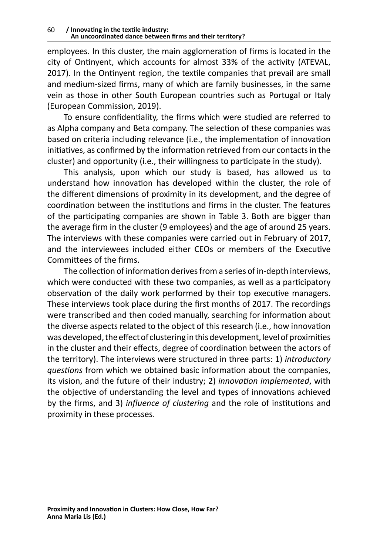employees. In this cluster, the main agglomeration of firms is located in the city of Ontinyent, which accounts for almost 33% of the activity (ATEVAL, 2017). In the Ontinyent region, the textile companies that prevail are small and medium-sized firms, many of which are family businesses, in the same vein as those in other South European countries such as Portugal or Italy (European Commission, 2019).

To ensure confidentiality, the firms which were studied are referred to as Alpha company and Beta company. The selection of these companies was based on criteria including relevance (i.e., the implementation of innovation initiatives, as confirmed by the information retrieved from our contacts in the cluster) and opportunity (i.e., their willingness to participate in the study).

This analysis, upon which our study is based, has allowed us to understand how innovation has developed within the cluster, the role of the different dimensions of proximity in its development, and the degree of coordination between the institutions and firms in the cluster. The features of the participating companies are shown in Table 3. Both are bigger than the average firm in the cluster (9 employees) and the age of around 25 years. The interviews with these companies were carried out in February of 2017, and the interviewees included either CEOs or members of the Executive Committees of the firms.

The collection of information derives from a series of in-depth interviews, which were conducted with these two companies, as well as a participatory observation of the daily work performed by their top executive managers. These interviews took place during the first months of 2017. The recordings were transcribed and then coded manually, searching for information about the diverse aspects related to the object of this research (i.e., how innovation was developed, the effect of clustering in this development, level of proximities in the cluster and their effects, degree of coordination between the actors of the territory). The interviews were structured in three parts: 1) *introductory questions* from which we obtained basic information about the companies, its vision, and the future of their industry; 2) *innovation implemented*, with the objective of understanding the level and types of innovations achieved by the firms, and 3) *influence of clustering* and the role of institutions and proximity in these processes.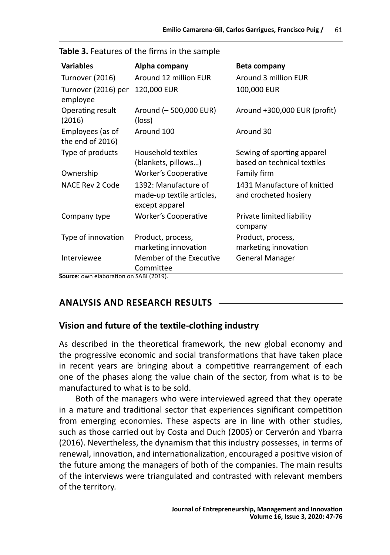| <b>Variables</b>                                     | Alpha company                                                       | Beta company                                              |
|------------------------------------------------------|---------------------------------------------------------------------|-----------------------------------------------------------|
| Turnover (2016)                                      | Around 12 million EUR                                               | Around 3 million EUR                                      |
| Turnover (2016) per<br>employee                      | 120,000 EUR                                                         | 100,000 EUR                                               |
| Operating result<br>(2016)                           | Around (-500,000 EUR)<br>(loss)                                     | Around +300,000 EUR (profit)                              |
| Employees (as of<br>the end of 2016)                 | Around 100                                                          | Around 30                                                 |
| Type of products                                     | Household textiles<br>(blankets, pillows)                           | Sewing of sporting apparel<br>based on technical textiles |
| Ownership                                            | Worker's Cooperative                                                | Family firm                                               |
| NACE Rev 2 Code                                      | 1392: Manufacture of<br>made-up textile articles,<br>except apparel | 1431 Manufacture of knitted<br>and crocheted hosiery      |
| Company type                                         | Worker's Cooperative                                                | Private limited liability<br>company                      |
| Type of innovation                                   | Product, process,<br>marketing innovation                           | Product, process,<br>marketing innovation                 |
| Interviewee<br>Source: OWD elaboration on SABL(2019) | Member of the Executive<br>Committee                                | <b>General Manager</b>                                    |

**Source**: own elaboration on SABI (2019).

# **ANALYSIS AND RESEARCH RESULTS**

# **Vision and future of the textile-clothing industry**

As described in the theoretical framework, the new global economy and the progressive economic and social transformations that have taken place in recent years are bringing about a competitive rearrangement of each one of the phases along the value chain of the sector, from what is to be manufactured to what is to be sold.

Both of the managers who were interviewed agreed that they operate in a mature and traditional sector that experiences significant competition from emerging economies. These aspects are in line with other studies, such as those carried out by Costa and Duch (2005) or Cerverón and Ybarra (2016). Nevertheless, the dynamism that this industry possesses, in terms of renewal, innovation, and internationalization, encouraged a positive vision of the future among the managers of both of the companies. The main results of the interviews were triangulated and contrasted with relevant members of the territory.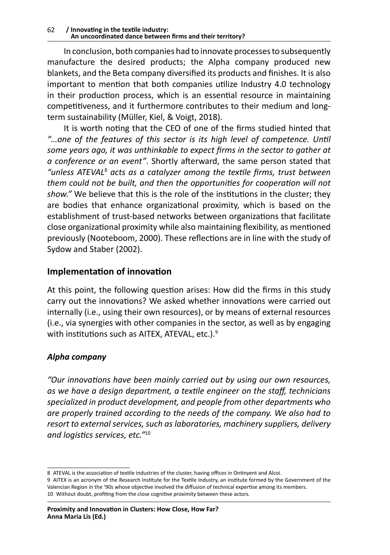In conclusion, both companies had to innovate processes to subsequently manufacture the desired products; the Alpha company produced new blankets, and the Beta company diversified its products and finishes. It is also important to mention that both companies utilize Industry 4.0 technology in their production process, which is an essential resource in maintaining competitiveness, and it furthermore contributes to their medium and longterm sustainability (Müller, Kiel, & Voigt, 2018).

It is worth noting that the CEO of one of the firms studied hinted that *"…one of the features of this sector is its high level of competence. Until some years ago, it was unthinkable to expect firms in the sector to gather at a conference or an event"*. Shortly afterward, the same person stated that *"unless ATEVAL*<sup>8</sup>  *acts as a catalyzer among the textile firms, trust between them could not be built, and then the opportunities for cooperation will not show."* We believe that this is the role of the institutions in the cluster; they are bodies that enhance organizational proximity, which is based on the establishment of trust-based networks between organizations that facilitate close organizational proximity while also maintaining flexibility, as mentioned previously (Nooteboom, 2000). These reflections are in line with the study of Sydow and Staber (2002).

# **Implementation of innovation**

At this point, the following question arises: How did the firms in this study carry out the innovations? We asked whether innovations were carried out internally (i.e., using their own resources), or by means of external resources (i.e., via synergies with other companies in the sector, as well as by engaging with institutions such as AITEX, ATEVAL, etc.).<sup>9</sup>

# *Alpha company*

*"Our innovations have been mainly carried out by using our own resources, as we have a design department, a textile engineer on the staff, technicians specialized in product development, and people from other departments who are properly trained according to the needs of the company. We also had to resort to external services, such as laboratories, machinery suppliers, delivery and logistics services, etc."*<sup>10</sup>

<sup>8</sup> ATEVAL is the association of textile industries of the cluster, having offices in Ontinyent and Alcoi.

<sup>9</sup> AITEX is an acronym of the Research Institute for the Textile Industry, an institute formed by the Government of the Valencian Region in the '90s whose objective involved the diffusion of technical expertise among its members. 10 Without doubt, profiting from the close cognitive proximity between these actors.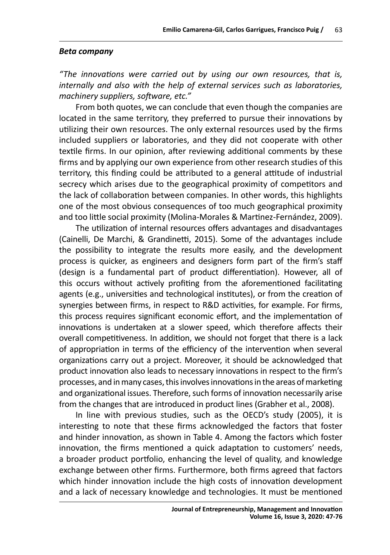#### *Beta company*

*"The innovations were carried out by using our own resources, that is, internally and also with the help of external services such as laboratories, machinery suppliers, software, etc."*

From both quotes, we can conclude that even though the companies are located in the same territory, they preferred to pursue their innovations by utilizing their own resources. The only external resources used by the firms included suppliers or laboratories, and they did not cooperate with other textile firms. In our opinion, after reviewing additional comments by these firms and by applying our own experience from other research studies of this territory, this finding could be attributed to a general attitude of industrial secrecy which arises due to the geographical proximity of competitors and the lack of collaboration between companies. In other words, this highlights one of the most obvious consequences of too much geographical proximity and too little social proximity (Molina-Morales & Martinez-Fernández, 2009).

The utilization of internal resources offers advantages and disadvantages (Cainelli, De Marchi, & Grandinetti, 2015). Some of the advantages include the possibility to integrate the results more easily, and the development process is quicker, as engineers and designers form part of the firm's staff (design is a fundamental part of product differentiation). However, all of this occurs without actively profiting from the aforementioned facilitating agents (e.g., universities and technological institutes), or from the creation of synergies between firms, in respect to R&D activities, for example. For firms, this process requires significant economic effort, and the implementation of innovations is undertaken at a slower speed, which therefore affects their overall competitiveness. In addition, we should not forget that there is a lack of appropriation in terms of the efficiency of the intervention when several organizations carry out a project. Moreover, it should be acknowledged that product innovation also leads to necessary innovations in respect to the firm's processes, and in many cases, this involves innovations in the areas of marketing and organizational issues. Therefore, such forms of innovation necessarily arise from the changes that are introduced in product lines (Grabher et al., 2008).

In line with previous studies, such as the OECD's study (2005), it is interesting to note that these firms acknowledged the factors that foster and hinder innovation, as shown in Table 4. Among the factors which foster innovation, the firms mentioned a quick adaptation to customers' needs, a broader product portfolio, enhancing the level of quality, and knowledge exchange between other firms. Furthermore, both firms agreed that factors which hinder innovation include the high costs of innovation development and a lack of necessary knowledge and technologies. It must be mentioned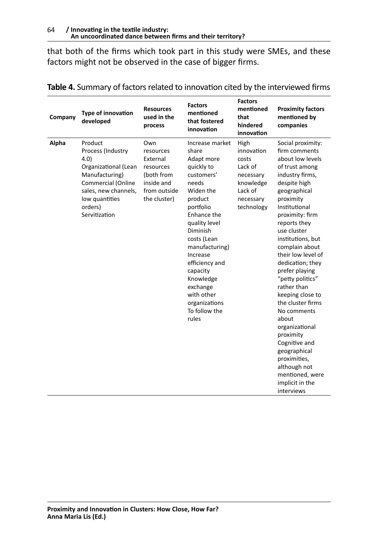that both of the firms which took part in this study were SMEs, and these factors might not be observed in the case of bigger firms.

| Company | Type of innovation<br>developed                                                                                                                                            | <b>Resources</b><br>used in the<br>process                                                            | <b>Factors</b><br>mentioned<br>that fostered<br>innovation                                                                                                                                                                                                                                                                | <b>Factors</b><br>mentioned<br>that<br>hindered<br>innovation                                          | <b>Proximity factors</b><br>mentioned by<br>companies                                                                                                                                                                                                                                                                                                                                                                                                                                                                                                                  |
|---------|----------------------------------------------------------------------------------------------------------------------------------------------------------------------------|-------------------------------------------------------------------------------------------------------|---------------------------------------------------------------------------------------------------------------------------------------------------------------------------------------------------------------------------------------------------------------------------------------------------------------------------|--------------------------------------------------------------------------------------------------------|------------------------------------------------------------------------------------------------------------------------------------------------------------------------------------------------------------------------------------------------------------------------------------------------------------------------------------------------------------------------------------------------------------------------------------------------------------------------------------------------------------------------------------------------------------------------|
| Alpha   | Product<br>Process (Industry<br>4.0)<br>Organizational (Lean<br>Manufacturing)<br>Commercial (Online<br>sales, new channels,<br>low quantities<br>orders)<br>Servitization | Own<br>resources<br>External<br>resources<br>(both from<br>inside and<br>from outside<br>the cluster) | Increase market<br>share<br>Adapt more<br>quickly to<br>customers'<br>needs<br>Widen the<br>product<br>portfolio<br>Enhance the<br>quality level<br>Diminish<br>costs (Lean<br>manufacturing)<br>Increase<br>efficiency and<br>capacity<br>Knowledge<br>exchange<br>with other<br>organizations<br>To follow the<br>rules | High<br>innovation<br>costs<br>Lack of<br>necessary<br>knowledge<br>Lack of<br>necessary<br>technology | Social proximity:<br>firm comments<br>about low levels<br>of trust among<br>industry firms,<br>despite high<br>geographical<br>proximity<br>Institutional<br>proximity: firm<br>reports they<br>use cluster<br>institutions, but<br>complain about<br>their low level of<br>dedication; they<br>prefer playing<br>"petty politics"<br>rather than<br>keeping close to<br>the cluster firms<br>No comments<br>about<br>organizational<br>proximity<br>Cognitive and<br>geographical<br>proximities,<br>although not<br>mentioned, were<br>implicit in the<br>interviews |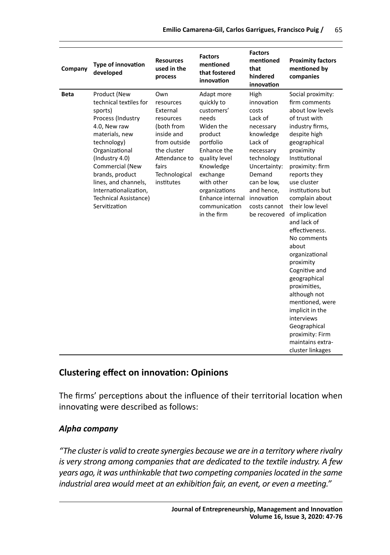| Company     | <b>Type of innovation</b><br>developed                                                                                                                                                                                                                                                       | <b>Resources</b><br>used in the<br>process                                                                                                                    | <b>Factors</b><br>mentioned<br>that fostered<br>innovation                                                                                                                                                                       | <b>Factors</b><br>mentioned<br>that<br>hindered<br>innovation                                                                                                                                               | <b>Proximity factors</b><br>mentioned by<br>companies                                                                                                                                                                                                                                                                                                                                                                                                                                                                                                                         |
|-------------|----------------------------------------------------------------------------------------------------------------------------------------------------------------------------------------------------------------------------------------------------------------------------------------------|---------------------------------------------------------------------------------------------------------------------------------------------------------------|----------------------------------------------------------------------------------------------------------------------------------------------------------------------------------------------------------------------------------|-------------------------------------------------------------------------------------------------------------------------------------------------------------------------------------------------------------|-------------------------------------------------------------------------------------------------------------------------------------------------------------------------------------------------------------------------------------------------------------------------------------------------------------------------------------------------------------------------------------------------------------------------------------------------------------------------------------------------------------------------------------------------------------------------------|
| <b>Beta</b> | Product (New<br>technical textiles for<br>sports)<br>Process (Industry<br>4.0, New raw<br>materials, new<br>technology)<br>Organizational<br>(Industry 4.0)<br>Commercial (New<br>brands, product<br>lines, and channels,<br>Internationalization,<br>Technical Assistance)<br>Servitization | Own<br>resources<br>External<br>resources<br>(both from<br>inside and<br>from outside<br>the cluster<br>Attendance to<br>fairs<br>Technological<br>institutes | Adapt more<br>quickly to<br>customers'<br>needs<br>Widen the<br>product<br>portfolio<br>Enhance the<br>quality level<br>Knowledge<br>exchange<br>with other<br>organizations<br>Enhance internal<br>communication<br>in the firm | High<br>innovation<br>costs<br>Lack of<br>necessary<br>knowledge<br>Lack of<br>necessary<br>technology<br>Uncertainty:<br>Demand<br>can be low,<br>and hence,<br>innovation<br>costs cannot<br>be recovered | Social proximity:<br>firm comments<br>about low levels<br>of trust with<br>industry firms,<br>despite high<br>geographical<br>proximity<br>Institutional<br>proximity: firm<br>reports they<br>use cluster<br>institutions but<br>complain about<br>their low level<br>of implication<br>and lack of<br>effectiveness.<br>No comments<br>about<br>organizational<br>proximity<br>Cognitive and<br>geographical<br>proximities,<br>although not<br>mentioned, were<br>implicit in the<br>interviews<br>Geographical<br>proximity: Firm<br>maintains extra-<br>cluster linkages |

# **Clustering effect on innovation: Opinions**

The firms' perceptions about the influence of their territorial location when innovating were described as follows:

### *Alpha company*

*"The cluster is valid to create synergies because we are in a territory where rivalry is very strong among companies that are dedicated to the textile industry. A few years ago, it was unthinkable that two competing companies located in the same industrial area would meet at an exhibition fair, an event, or even a meeting."*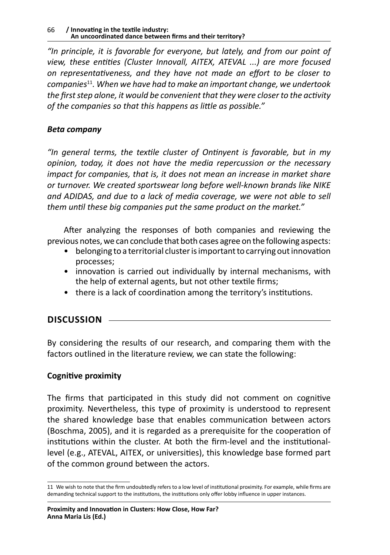*"In principle, it is favorable for everyone, but lately, and from our point of view, these entities (Cluster Innovall, AITEX, ATEVAL ...) are more focused on representativeness, and they have not made an effort to be closer to companies*11*. When we have had to make an important change, we undertook the first step alone, it would be convenient that they were closer to the activity of the companies so that this happens as little as possible."*

### *Beta company*

*"In general terms, the textile cluster of Ontinyent is favorable, but in my opinion, today, it does not have the media repercussion or the necessary impact for companies, that is, it does not mean an increase in market share or turnover. We created sportswear long before well-known brands like NIKE and ADIDAS, and due to a lack of media coverage, we were not able to sell them until these big companies put the same product on the market."* 

After analyzing the responses of both companies and reviewing the previous notes, we can conclude that both cases agree on the following aspects:

- belonging to a territorial cluster is important to carrying out innovation processes;
- innovation is carried out individually by internal mechanisms, with the help of external agents, but not other textile firms;
- there is a lack of coordination among the territory's institutions.

# **DISCUSSION**

By considering the results of our research, and comparing them with the factors outlined in the literature review, we can state the following:

# **Cognitive proximity**

The firms that participated in this study did not comment on cognitive proximity. Nevertheless, this type of proximity is understood to represent the shared knowledge base that enables communication between actors (Boschma, 2005), and it is regarded as a prerequisite for the cooperation of institutions within the cluster. At both the firm-level and the institutionallevel (e.g., ATEVAL, AITEX, or universities), this knowledge base formed part of the common ground between the actors.

<sup>11</sup> We wish to note that the firm undoubtedly refers to a low level of institutional proximity. For example, while firms are demanding technical support to the institutions, the institutions only offer lobby influence in upper instances.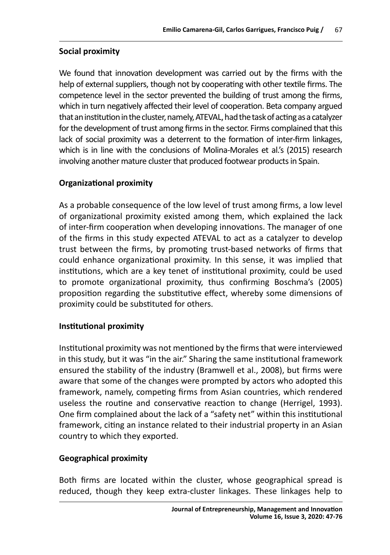### **Social proximity**

We found that innovation development was carried out by the firms with the help of external suppliers, though not by cooperating with other textile firms. The competence level in the sector prevented the building of trust among the firms, which in turn negatively affected their level of cooperation. Beta company argued that an institution in the cluster, namely, ATEVAL, had the task of acting as acatalyzer for the development of trust among firms in the sector. Firms complained that this lack of social proximity was a deterrent to the formation of inter-firm linkages, which is in line with the conclusions of Molina-Morales et al.'s (2015) research involving another mature cluster that produced footwear products in Spain.

### **Organizational proximity**

As a probable consequence of the low level of trust among firms, a low level of organizational proximity existed among them, which explained the lack of inter-firm cooperation when developing innovations. The manager of one of the firms in this study expected ATEVAL to act as a catalyzer to develop trust between the firms, by promoting trust-based networks of firms that could enhance organizational proximity. In this sense, it was implied that institutions, which are a key tenet of institutional proximity, could be used to promote organizational proximity, thus confirming Boschma's (2005) proposition regarding the substitutive effect, whereby some dimensions of proximity could be substituted for others.

### **Institutional proximity**

Institutional proximity was not mentioned by the firms that were interviewed in this study, but it was "in the air." Sharing the same institutional framework ensured the stability of the industry (Bramwell et al., 2008), but firms were aware that some of the changes were prompted by actors who adopted this framework, namely, competing firms from Asian countries, which rendered useless the routine and conservative reaction to change (Herrigel, 1993). One firm complained about the lack of a "safety net" within this institutional framework, citing an instance related to their industrial property in an Asian country to which they exported.

### **Geographical proximity**

Both firms are located within the cluster, whose geographical spread is reduced, though they keep extra-cluster linkages. These linkages help to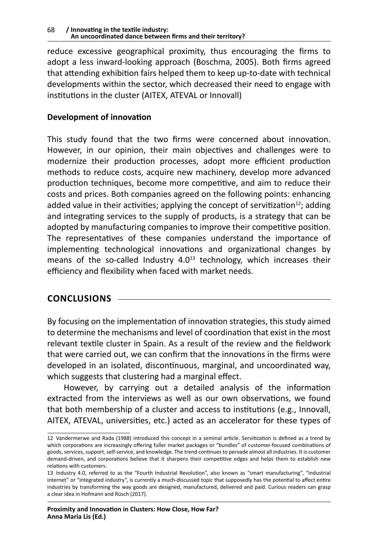reduce excessive geographical proximity, thus encouraging the firms to adopt a less inward-looking approach (Boschma, 2005). Both firms agreed that attending exhibition fairs helped them to keep up-to-date with technical developments within the sector, which decreased their need to engage with institutions in the cluster (AITEX, ATEVAL or Innovall)

### **Development of innovation**

This study found that the two firms were concerned about innovation. However, in our opinion, their main objectives and challenges were to modernize their production processes, adopt more efficient production methods to reduce costs, acquire new machinery, develop more advanced production techniques, become more competitive, and aim to reduce their costs and prices. Both companies agreed on the following points: enhancing added value in their activities; applying the concept of servitization<sup>12</sup>; adding and integrating services to the supply of products, is a strategy that can be adopted by manufacturing companies to improve their competitive position. The representatives of these companies understand the importance of implementing technological innovations and organizational changes by means of the so-called Industry  $4.0<sup>13</sup>$  technology, which increases their efficiency and flexibility when faced with market needs.

# **CONCLUSIONS**

By focusing on the implementation of innovation strategies, this study aimed to determine the mechanisms and level of coordination that exist in the most relevant textile cluster in Spain. As a result of the review and the fieldwork that were carried out, we can confirm that the innovations in the firms were developed in an isolated, discontinuous, marginal, and uncoordinated way, which suggests that clustering had a marginal effect.

However, by carrying out a detailed analysis of the information extracted from the interviews as well as our own observations, we found that both membership of a cluster and access to institutions (e.g., Innovall, AITEX, ATEVAL, universities, etc.) acted as an accelerator for these types of

<sup>12</sup> Vandermerwe and Rada (1988) introduced this concept in a seminal article. Servitization is defined as a trend by which corporations are increasingly offering fuller market packages or "bundles" of customer-focused combinations of goods, services, support, self-service, and knowledge. The trend continues to pervade almost all industries. It is customer demand-driven, and corporations believe that it sharpens their competitive edges and helps them to establish new relations with customers.

<sup>13</sup> Industry 4.0, referred to as the "Fourth Industrial Revolution", also known as "smart manufacturing", "industrial internet" or "integrated industry", is currently a much-discussed topic that supposedly has the potential to affect entire industries by transforming the way goods are designed, manufactured, delivered and paid. Curious readers can grasp a clear idea in Hofmann and Rüsch (2017).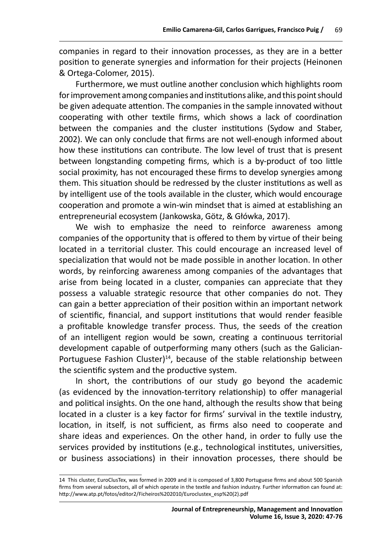companies in regard to their innovation processes, as they are in a better position to generate synergies and information for their projects (Heinonen & Ortega-Colomer, 2015).

Furthermore, we must outline another conclusion which highlights room for improvement among companies and institutions alike, and this point should be given adequate attention. The companies in the sample innovated without cooperating with other textile firms, which shows a lack of coordination between the companies and the cluster institutions (Sydow and Staber, 2002). We can only conclude that firms are not well-enough informed about how these institutions can contribute. The low level of trust that is present between longstanding competing firms, which is a by-product of too little social proximity, has not encouraged these firms to develop synergies among them. This situation should be redressed by the cluster institutions as well as by intelligent use of the tools available in the cluster, which would encourage cooperation and promote a win-win mindset that is aimed at establishing an entrepreneurial ecosystem (Jankowska, Götz, & Główka, 2017).

We wish to emphasize the need to reinforce awareness among companies of the opportunity that is offered to them by virtue of their being located in a territorial cluster. This could encourage an increased level of specialization that would not be made possible in another location. In other words, by reinforcing awareness among companies of the advantages that arise from being located in a cluster, companies can appreciate that they possess a valuable strategic resource that other companies do not. They can gain a better appreciation of their position within an important network of scientific, financial, and support institutions that would render feasible a profitable knowledge transfer process. Thus, the seeds of the creation of an intelligent region would be sown, creating a continuous territorial development capable of outperforming many others (such as the Galician-Portuguese Fashion Cluster) $14$ , because of the stable relationship between the scientific system and the productive system.

In short, the contributions of our study go beyond the academic (as evidenced by the innovation-territory relationship) to offer managerial and political insights. On the one hand, although the results show that being located in a cluster is a key factor for firms' survival in the textile industry, location, in itself, is not sufficient, as firms also need to cooperate and share ideas and experiences. On the other hand, in order to fully use the services provided by institutions (e.g., technological institutes, universities, or business associations) in their innovation processes, there should be

<sup>14</sup> This cluster, EuroClusTex, was formed in 2009 and it is composed of 3,800 Portuguese firms and about 500 Spanish firms from several subsectors, all of which operate in the textile and fashion industry. Further information can found at: http://www.atp.pt/fotos/editor2/Ficheiros%202010/Euroclustex\_esp%20(2).pdf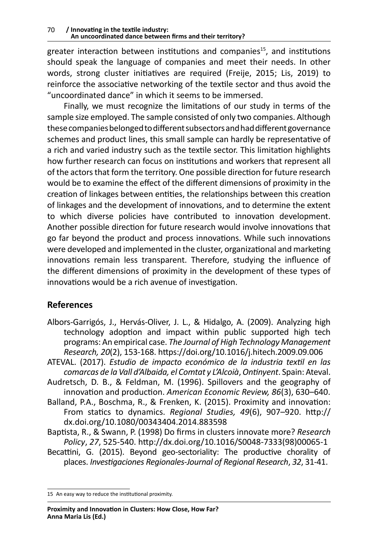greater interaction between institutions and companies<sup>15</sup>, and institutions should speak the language of companies and meet their needs. In other words, strong cluster initiatives are required (Freije, 2015; Lis, 2019) to reinforce the associative networking of the textile sector and thus avoid the "uncoordinated dance" in which it seems to be immersed.

Finally, we must recognize the limitations of our study in terms of the sample size employed. The sample consisted of only two companies. Although these companies belonged to different subsectors and had different governance schemes and product lines, this small sample can hardly be representative of a rich and varied industry such as the textile sector. This limitation highlights how further research can focus on institutions and workers that represent all of the actors that form the territory. One possible direction for future research would be to examine the effect of the different dimensions of proximity in the creation of linkages between entities, the relationships between this creation of linkages and the development of innovations, and to determine the extent to which diverse policies have contributed to innovation development. Another possible direction for future research would involve innovations that go far beyond the product and process innovations. While such innovations were developed and implemented in the cluster, organizational and marketing innovations remain less transparent. Therefore, studying the influence of the different dimensions of proximity in the development of these types of innovations would be a rich avenue of investigation.

# **References**

- Albors-Garrigós, J., Hervás-Oliver, J. L., & Hidalgo, A. (2009). Analyzing high technology adoption and impact within public supported high tech programs: An empirical case. *The Journal of High Technology Management Research, 20*(2), 153-168. https://doi.org/10.1016/j.hitech.2009.09.006
- ATEVAL. (2017). *Estudio de impacto económico de la industria textil en las comarcas de la Vall d'Albaida, el Comtat y L'Alcoià*, *Ontinyent*. Spain: Ateval.
- Audretsch, D. B., & Feldman, M. (1996). Spillovers and the geography of innovation and production. *American Economic Review, 86*(3), 630–640.
- Balland, P.A., Boschma, R., & Frenken, K. (2015). Proximity and innovation: From statics to dynamics. *Regional Studies, 49*(6), 907–920. http:// dx.doi.org/10.1080/00343404.2014.883598
- Baptista, R., & Swann, P. (1998) Do firms in clusters innovate more? *Research Policy*, *27*, 525-540. http://dx.doi.org/10.1016/S0048-7333(98)00065-1
- Becattini, G. (2015). Beyond geo-sectoriality: The productive chorality of places. *Investigaciones Regionales-Journal of Regional Research*, *32*, 31-41.

<sup>15</sup> An easy way to reduce the institutional proximity.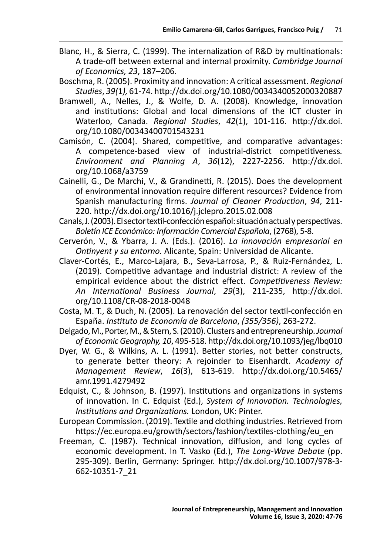- Blanc, H., & Sierra, C. (1999). The internalization of R&D by multinationals: A trade-off between external and internal proximity. *Cambridge Journal of Economics, 23*, 187–206.
- Boschma, R. (2005). Proximity and innovation: A critical assessment. *Regional Studies*, *39(*1*),* 61-74. http://dx.doi.org/10.1080/0034340052000320887
- Bramwell, A., Nelles, J., & Wolfe, D. A. (2008). Knowledge, innovation and institutions: Global and local dimensions of the ICT cluster in Waterloo, Canada. *Regional Studies*, *42*(1), 101-116. http://dx.doi. org/10.1080/00343400701543231
- Camisón, C. (2004). Shared, competitive, and comparative advantages: A competence-based view of industrial-district competitiveness*. Environment and Planning A*, *36*(12), 2227-2256. http://dx.doi. org/10.1068/a3759
- Cainelli, G., De Marchi, V., & Grandinetti, R. (2015). Does the development of environmental innovation require different resources? Evidence from Spanish manufacturing firms. *Journal of Cleaner Production*, *94*, 211- 220. http://dx.doi.org/10.1016/j.jclepro.2015.02.008
- Canals, J. (2003). El sector textil-confección español: situación actual y perspectivas. *Boletín ICE Económico: Información Comercial Española*, (2768), 5-8.
- Cerverón, V., & Ybarra, J. A. (Eds.). (2016). *La innovación empresarial en Ontinyent y su entorno.* Alicante, Spain: Universidad de Alicante.
- Claver-Cortés, E., Marco-Lajara, B., Seva-Larrosa, P., & Ruiz-Fernández, L. (2019). Competitive advantage and industrial district: A review of the empirical evidence about the district effect. *Competitiveness Review: An International Business Journal*, *29*(3), 211-235, http://dx.doi. org/10.1108/CR-08-2018-0048
- Costa, M. T., & Duch, N. (2005). La renovación del sector textil-confección en España. *Instituto de Economía de Barcelona*, *(355/356)*, 263-272.
- Delgado, M., Porter, M., & Stern, S. (2010). Clusters and entrepreneurship. *Journal of Economic Geography, 10*, 495-518. http://dx.doi.org/10.1093/jeg/lbq010
- Dyer, W. G., & Wilkins, A. L. (1991). Better stories, not better constructs, to generate better theory: A rejoinder to Eisenhardt. *Academy of Management Review*, *16*(3), 613-619. http://dx.doi.org/10.5465/ amr.1991.4279492
- Edquist, C., & Johnson, B. (1997). Institutions and organizations in systems of innovation. In C. Edquist (Ed.), *System of Innovation. Technologies, Institutions and Organizations.* London, UK: Pinter.
- European Commission. (2019). Textile and clothing industries. Retrieved from https://ec.europa.eu/growth/sectors/fashion/textiles-clothing/eu\_en
- Freeman, C. (1987). Technical innovation, diffusion, and long cycles of economic development. In T. Vasko (Ed.), *The Long-Wave Debate* (pp. 295-309). Berlin, Germany: Springer. http://dx.doi.org/10.1007/978-3- 662-10351-7\_21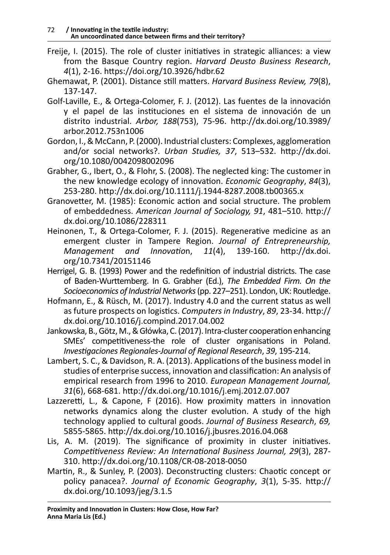- Freije, I. (2015). The role of cluster initiatives in strategic alliances: a view from the Basque Country region. *Harvard Deusto Business Research*, *4*(1), 2-16. https://doi.org/10.3926/hdbr.62
- Ghemawat, P. (2001). Distance still matters. *Harvard Business Review, 79*(8), 137-147.
- Golf-Laville, E., & Ortega-Colomer, F. J. (2012). Las fuentes de la innovación y el papel de las instituciones en el sistema de innovación de un distrito industrial. *Arbor, 188*(753), 75-96. http://dx.doi.org/10.3989/ arbor.2012.753n1006
- Gordon, I., & McCann, P. (2000). Industrial clusters: Complexes, agglomeration and/or social networks?. *Urban Studies, 37*, 513–532. http://dx.doi. org/10.1080/0042098002096
- Grabher, G., Ibert, O., & Flohr, S. (2008). The neglected king: The customer in the new knowledge ecology of innovation. *Economic Geography*, *84*(3), 253-280. http://dx.doi.org/10.1111/j.1944-8287.2008.tb00365.x
- Granovetter, M. (1985): Economic action and social structure. The problem of embeddedness. *American Journal of Sociology, 91*, 481–510. http:// dx.doi.org/10.1086/228311
- Heinonen, T., & Ortega-Colomer, F. J. (2015). Regenerative medicine as an emergent cluster in Tampere Region. *Journal of Entrepreneurship, Management and Innovatio*n, *11*(4), 139-160. http://dx.doi. org/10.7341/20151146
- Herrigel, G. B. (1993) Power and the redefinition of industrial districts. The case of Baden-Wurttemberg. In G. Grabher (Ed.), *The Embedded Firm. On the Socioeconomics of Industrial Networks* (pp. 227–251). London, UK: Routledge.
- Hofmann, E., & Rüsch, M. (2017). Industry 4.0 and the current status as well as future prospects on logistics. *Computers in Industry*, *89*, 23-34. http:// dx.doi.org/10.1016/j.compind.2017.04.002
- Jankowska, B., Götz, M., & Główka, C. (2017). Intra-cluster cooperation enhancing SMEs' competitiveness-the role of cluster organisations in Poland. *Investigaciones Regionales-Journal of Regional Research*, *39*, 195-214.
- Lambert, S. C., & Davidson, R. A. (2013). Applications of the business model in studies of enterprise success, innovation and classification: An analysis of empirical research from 1996 to 2010. *European Management Journal, 31*(6), 668-681. http://dx.doi.org/10.1016/j.emj.2012.07.007
- Lazzeretti, L., & Capone, F (2016). How proximity matters in innovation networks dynamics along the cluster evolution. A study of the high technology applied to cultural goods. *Journal of Business Research*, *69,* 5855-5865. http://dx.doi.org/10.1016/j.jbusres.2016.04.068
- Lis, A. M. (2019). The significance of proximity in cluster initiatives. *Competitiveness Review: An International Business Journal, 29*(3), 287- 310. http://dx.doi.org/10.1108/CR-08-2018-0050
- Martin, R., & Sunley, P. (2003). Deconstructing clusters: Chaotic concept or policy panacea?. *Journal of Economic Geography*, *3*(1), 5-35. http:// dx.doi.org/10.1093/jeg/3.1.5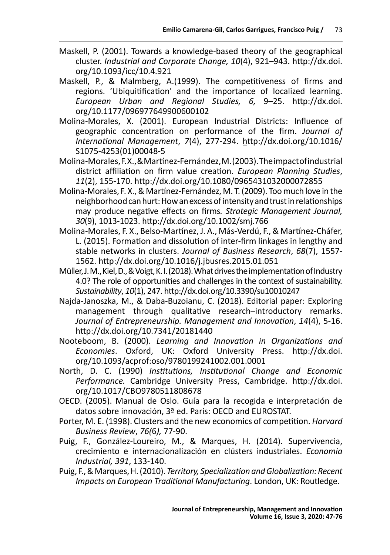- Maskell, P. (2001). Towards a knowledge-based theory of the geographical cluster. *Industrial and Corporate Change, 10*(4), 921–943. http://dx.doi. org/10.1093/icc/10.4.921
- Maskell, P., & Malmberg, A.(1999). The competitiveness of firms and regions. 'Ubiquitification' and the importance of localized learning. *European Urban and Regional Studies, 6,* 9–25. http://dx.doi. org/10.1177/096977649900600102
- Molina-Morales, X. (2001). European Industrial Districts: Influence of geographic concentration on performance of the firm. *Journal of International Management*, *7*(4), 277-294. http://dx.doi.org/10.1016/ S1075-4253(01)00048-5
- Molina-Morales, F. X., & Martínez-Fernández, M. (2003). The impact of industrial district affiliation on firm value creation. *European Planning Studies*, *11*(2), 155-170. http://dx.doi.org/10.1080/0965431032000072855
- Molina-Morales, F. X., & Martínez-Fernández, M. T. (2009). Too much love in the neighborhood can hurt: How an excess of intensity and trust in relationships may produce negative effects on firms*. Strategic Management Journal, 30*(9), 1013-1023. http://dx.doi.org/10.1002/smj.766
- Molina-Morales, F. X., Belso-Martínez, J. A., Más-Verdú, F., & Martínez-Cháfer, L. (2015). Formation and dissolution of inter-firm linkages in lengthy and stable networks in clusters. *Journal of Business Research*, *68*(7), 1557- 1562. http://dx.doi.org/10.1016/j.jbusres.2015.01.051
- Müller, J. M., Kiel, D., & Voigt, K. I. (2018). What drives the implementation of Industry 4.0? The role of opportunities and challenges in the context of sustainability. *Sustainability*, *10*(1), 247. http://dx.doi.org/10.3390/su10010247
- Najda-Janoszka, M., & Daba-Buzoianu, C. (2018). Editorial paper: Exploring management through qualitative research–introductory remarks. *Journal of Entrepreneurship. Management and Innovation*, *14*(4), 5-16. http://dx.doi.org/10.7341/20181440
- Nooteboom, B. (2000). *Learning and Innovation in Organizations and Economies*. Oxford, UK: Oxford University Press. http://dx.doi. org/10.1093/acprof:oso/9780199241002.001.0001
- North, D. C. (1990) *Institutions, Institutional Change and Economic Performance.* Cambridge University Press, Cambridge. http://dx.doi. org/10.1017/CBO9780511808678
- OECD. (2005). Manual de Oslo. Guía para la recogida e interpretación de datos sobre innovación, 3ª ed. Paris: OECD and EUROSTAT.
- Porter, M. E. (1998). Clusters and the new economics of competition. *Harvard Business Review*, *76(*6*),* 77-90.
- Puig, F., González-Loureiro, M., & Marques, H. (2014). Supervivencia, crecimiento e internacionalización en clústers industriales. *Economía Industrial, 391*, 133-140.
- Puig, F., & Marques, H. (2010). *Territory, Specialization and Globalization: Recent Impacts on European Traditional Manufacturing*. London, UK: Routledge.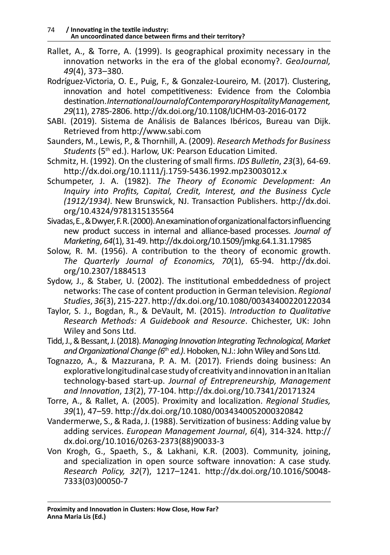- Rallet, A., & Torre, A. (1999). Is geographical proximity necessary in the innovation networks in the era of the global economy?. *GeoJournal, 49*(4), 373–380.
- Rodríguez-Victoria, O. E., Puig, F., & Gonzalez-Loureiro, M. (2017). Clustering, innovation and hotel competitiveness: Evidence from the Colombia destination. *International Journal of Contemporary Hospitality Management, 29*(11), 2785-2806. http://dx.doi.org/10.1108/IJCHM-03-2016-0172
- SABI. (2019). Sistema de Análisis de Balances Ibéricos, Bureau van Dijk. Retrieved from http://www.sabi.com
- Saunders, M., Lewis, P., & Thornhill, A. (2009). *Research Methods for Business Students* (5th ed.). Harlow, UK: Pearson Education Limited.
- Schmitz, H. (1992). On the clustering of small firms. *IDS Bulletin*, *23*(3), 64-69. http://dx.doi.org/10.1111/j.1759-5436.1992.mp23003012.x
- Schumpeter, J. A. (1982). *The Theory of Economic Development: An Inquiry into Profits, Capital, Credit, Interest, and the Business Cycle (1912/1934)*. New Brunswick, NJ. Transaction Publishers. http://dx.doi. org/10.4324/9781315135564
- Sivadas, E., & Dwyer, F. R. (2000). An examination of organizational factors influencing new product success in internal and alliance-based processes. *Journal of Marketing*, *64*(1), 31-49. http://dx.doi.org/10.1509/jmkg.64.1.31.17985
- Solow, R. M. (1956). A contribution to the theory of economic growth. *The Quarterly Journal of Economics, 70*(1), 65-94. http://dx.doi. org/10.2307/1884513
- Sydow, J., & Staber, U. (2002). The institutional embeddedness of project networks: The case of content production in German television. *Regional Studies*, *36*(3), 215-227. http://dx.doi.org/10.1080/00343400220122034
- Taylor, S. J., Bogdan, R., & DeVault, M. (2015). *Introduction to Qualitative Research Methods: A Guidebook and Resource*. Chichester, UK: John Wiley and Sons Ltd.
- Tidd, J., & Bessant, J. (2018). *Managing Innovation Integrating Technological, Market and Organizational Change (6*th *ed.)*. Hoboken, N.J.: John Wiley and Sons Ltd.
- Tognazzo, A., & Mazzurana, P. A. M. (2017). Friends doing business: An explorative longitudinal case study of creativity and innovation in an Italian technology-based start-up. *Journal of Entrepreneurship, Management and Innovation*, *13*(2), 77-104. http://dx.doi.org/10.7341/20171324
- Torre, A., & Rallet, A. (2005). Proximity and localization. *Regional Studies, 39*(1), 47–59. http://dx.doi.org/10.1080/0034340052000320842
- Vandermerwe, S., & Rada, J. (1988). Servitization of business: Adding value by adding services. *European Management Journal*, *6*(4), 314-324. http:// dx.doi.org/10.1016/0263-2373(88)90033-3
- Von Krogh, G., Spaeth, S., & Lakhani, K.R. (2003). Community, joining, and specialization in open source software innovation: A case study. *Research Policy, 32*(7), 1217–1241. http://dx.doi.org/10.1016/S0048- 7333(03)00050-7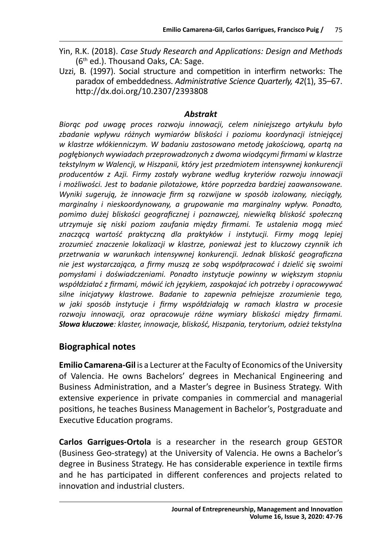- Yin, R.K. (2018). *Case Study Research and Applications: Design and Methods*  (6th ed.). Thousand Oaks, CA: Sage.
- Uzzi, B. (1997). Social structure and competition in interfirm networks: The paradox of embeddedness. *Administrative Science Quarterly, 42*(1), 35–67. http://dx.doi.org/10.2307/2393808

### *Abstrakt*

*Biorąc pod uwagę proces rozwoju innowacji, celem niniejszego artykułu było zbadanie wpływu różnych wymiarów bliskości i poziomu koordynacji istniejącej w klastrze włókienniczym. W badaniu zastosowano metodę jakościową, opartą na pogłębionych wywiadach przeprowadzonych z dwoma wiodącymi firmami w klastrze tekstylnym w Walencji, w Hiszpanii, który jest przedmiotem intensywnej konkurencji producentów z Azji. Firmy zostały wybrane według kryteriów rozwoju innowacji i możliwości. Jest to badanie pilotażowe, które poprzedza bardziej zaawansowane. Wyniki sugerują, że innowacje firm są rozwijane w sposób izolowany, nieciągły, marginalny i nieskoordynowany, a grupowanie ma marginalny wpływ. Ponadto, pomimo dużej bliskości geograficznej i poznawczej, niewielką bliskość społeczną utrzymuje się niski poziom zaufania między firmami. Te ustalenia mogą mieć znaczącą wartość praktyczną dla praktyków i instytucji. Firmy mogą lepiej zrozumieć znaczenie lokalizacji w klastrze, ponieważ jest to kluczowy czynnik ich przetrwania w warunkach intensywnej konkurencji. Jednak bliskość geograficzna nie jest wystarczająca, a firmy muszą ze sobą współpracować i dzielić się swoimi pomysłami i doświadczeniami. Ponadto instytucje powinny w większym stopniu współdziałać z firmami, mówić ich językiem, zaspokajać ich potrzeby i opracowywać silne inicjatywy klastrowe. Badanie to zapewnia pełniejsze zrozumienie tego, w jaki sposób instytucje i firmy współdziałają w ramach klastra w procesie rozwoju innowacji, oraz opracowuje różne wymiary bliskości między firmami. Słowa kluczowe: klaster, innowacje, bliskość, Hiszpania, terytorium, odzież tekstylna*

### **Biographical notes**

**Emilio Camarena-Gil** is a Lecturer at the Faculty of Economics of the University of Valencia. He owns Bachelors' degrees in Mechanical Engineering and Business Administration, and a Master's degree in Business Strategy. With extensive experience in private companies in commercial and managerial positions, he teaches Business Management in Bachelor's, Postgraduate and Executive Education programs.

**Carlos Garrigues-Ortola** is a researcher in the research group GESTOR (Business Geo-strategy) at the University of Valencia. He owns a Bachelor's degree in Business Strategy. He has considerable experience in textile firms and he has participated in different conferences and projects related to innovation and industrial clusters.